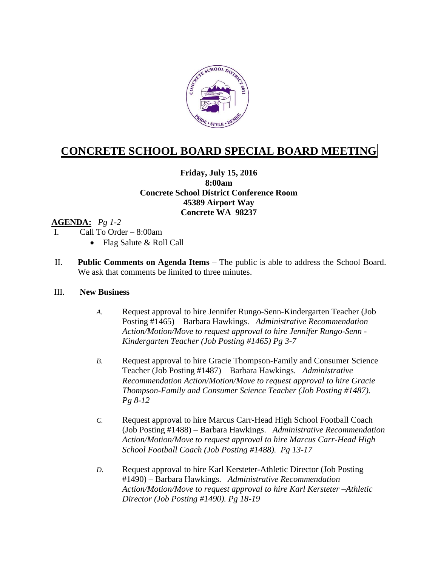

# **CONCRETE SCHOOL BOARD SPECIAL BOARD MEETING**

## **Friday, July 15, 2016 8:00am Concrete School District Conference Room 45389 Airport Way Concrete WA 98237**

### **AGENDA:** *Pg 1-2*

- I. Call To Order 8:00am
	- Flag Salute & Roll Call
- II. **Public Comments on Agenda Items** The public is able to address the School Board. We ask that comments be limited to three minutes.

#### III. **New Business**

- *A.* Request approval to hire Jennifer Rungo-Senn-Kindergarten Teacher (Job Posting #1465) – Barbara Hawkings. *Administrative Recommendation Action/Motion/Move to request approval to hire Jennifer Rungo-Senn - Kindergarten Teacher (Job Posting #1465) Pg 3-7*
- *B.* Request approval to hire Gracie Thompson-Family and Consumer Science Teacher (Job Posting #1487) – Barbara Hawkings. *Administrative Recommendation Action/Motion/Move to request approval to hire Gracie Thompson-Family and Consumer Science Teacher (Job Posting #1487). Pg 8-12*
- *C.* Request approval to hire Marcus Carr-Head High School Football Coach (Job Posting #1488) – Barbara Hawkings. *Administrative Recommendation Action/Motion/Move to request approval to hire Marcus Carr-Head High School Football Coach (Job Posting #1488). Pg 13-17*
- *D.* Request approval to hire Karl Kersteter-Athletic Director (Job Posting #1490) – Barbara Hawkings. *Administrative Recommendation Action/Motion/Move to request approval to hire Karl Kersteter –Athletic Director (Job Posting #1490). Pg 18-19*